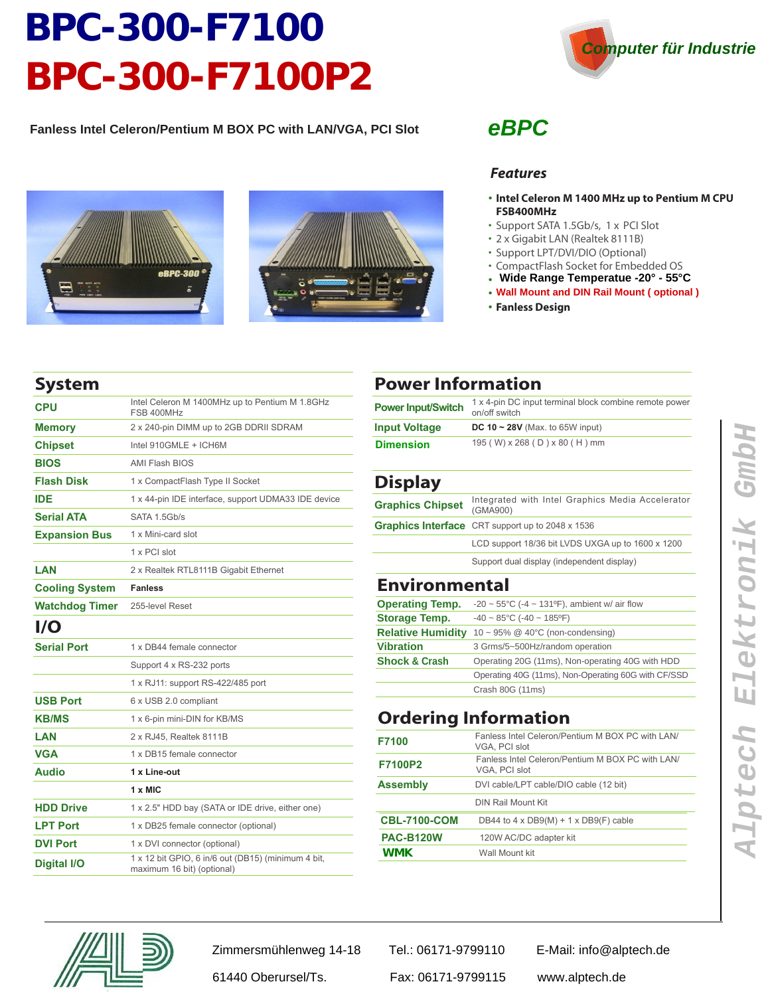# **BPC-300-F7100 BPC-300-F7100P2**

**Fanless Intel Celeron/Pentium M BOX PC with LAN/VGA, PCI Slot**







#### *eBPC*

#### *Features*

- **Intel Celeron M 1400 MHz up to Pentium M CPU •FSB400MHz**
- Support SATA 1.5Gb/s, 1 x PCI Slot
- 2 x Gigabit LAN (Realtek 8111B) ••••••••••
- Support LPT/DVI/DIO (Optional)
- CompactFlash Socket for Embedded OS
- **Wide Range Temperatue -20° 55°C**
- **Wall Mount and DIN Rail Mount ( optional )**
- **Fanless Design •••**

#### **System**

| <b>CPU</b>              | Intel Celeron M 1400MHz up to Pentium M 1.8GHz<br>FSB 400MHz                     |
|-------------------------|----------------------------------------------------------------------------------|
| <b>Memory</b>           | 2 x 240-pin DIMM up to 2GB DDRII SDRAM                                           |
| <b>Chipset</b>          | Intel 910GMLE + ICH6M                                                            |
| <b>BIOS</b>             | <b>AMI Flash BIOS</b>                                                            |
| <b>Flash Disk</b>       | 1 x CompactFlash Type II Socket                                                  |
| <b>IDE</b>              | 1 x 44-pin IDE interface, support UDMA33 IDE device                              |
| <b>Serial ATA</b>       | SATA 1.5Gb/s                                                                     |
| <b>Expansion Bus</b>    | 1 x Mini-card slot                                                               |
|                         | 1 x PCI slot                                                                     |
| LAN                     | 2 x Realtek RTL8111B Gigabit Ethernet                                            |
| <b>Cooling System</b>   | <b>Fanless</b>                                                                   |
| <b>Watchdog Timer</b>   | 255-level Reset                                                                  |
| $\mathsf{I}/\mathsf{O}$ |                                                                                  |
| <b>Serial Port</b>      | 1 x DB44 female connector                                                        |
|                         | Support 4 x RS-232 ports                                                         |
|                         | 1 x RJ11: support RS-422/485 port                                                |
| <b>USB Port</b>         | 6 x USB 2.0 compliant                                                            |
| <b>KB/MS</b>            | 1 x 6-pin mini-DIN for KB/MS                                                     |
| LAN                     | 2 x RJ45. Realtek 8111B                                                          |
| <b>VGA</b>              | 1 x DB15 female connector                                                        |
| <b>Audio</b>            | 1 x Line-out                                                                     |
|                         | $1 \times$ MIC                                                                   |
| <b>HDD Drive</b>        | 1 x 2.5" HDD bay (SATA or IDE drive, either one)                                 |
| <b>LPT Port</b>         | 1 x DB25 female connector (optional)                                             |
| <b>DVI Port</b>         | 1 x DVI connector (optional)                                                     |
| <b>Digital I/O</b>      | 1 x 12 bit GPIO, 6 in/6 out (DB15) (minimum 4 bit,<br>maximum 16 bit) (optional) |

#### **Power Information**

| <b>Power Input/Switch</b> | 1 x 4-pin DC input terminal block combine remote power<br>on/off switch |
|---------------------------|-------------------------------------------------------------------------|
| <b>Input Voltage</b>      | DC 10 $\sim$ 28V (Max. to 65W input)                                    |
| <b>Dimension</b>          | 195 (W) x 268 (D) x 80 (H) mm                                           |

#### **Display**

| ----                    |                                                              |
|-------------------------|--------------------------------------------------------------|
| <b>Graphics Chipset</b> | Integrated with Intel Graphics Media Accelerator<br>(GMA900) |
|                         | Graphics Interface CRT support up to 2048 x 1536             |
|                         | LCD support 18/36 bit LVDS UXGA up to 1600 x 1200            |
|                         | Support dual display (independent display)                   |

#### **Environmental**

| -20 $\sim$ 55°C (-4 $\sim$ 131°F), ambient w/ air flow |
|--------------------------------------------------------|
| $-40 \sim 85^{\circ}$ C (-40 ~ 185°F)                  |
| 10 ~ 95% @ 40°C (non-condensing)                       |
| 3 Grms/5~500Hz/random operation                        |
| Operating 20G (11ms), Non-operating 40G with HDD       |
| Operating 40G (11ms), Non-Operating 60G with CF/SSD    |
| Crash 80G (11ms)                                       |
|                                                        |

#### **Ordering Information**

| F7100               | Fanless Intel Celeron/Pentium M BOX PC with LAN/<br>VGA, PCI slot |
|---------------------|-------------------------------------------------------------------|
| F7100P2             | Fanless Intel Celeron/Pentium M BOX PC with LAN/<br>VGA, PCI slot |
| <b>Assembly</b>     | DVI cable/LPT cable/DIO cable (12 bit)                            |
|                     | <b>DIN Rail Mount Kit</b>                                         |
| <b>CBL-7100-COM</b> | DB44 to 4 x DB9(M) + 1 x DB9(F) cable                             |
| <b>PAC-B120W</b>    | 120W AC/DC adapter kit                                            |
| WMK.                | Wall Mount kit                                                    |



Zimmersmühlenweg 14-18 Tel.: 06171-9799110 E-Mail: info@alptech.de

61440 Oberursel/Ts. Fax: 06171-9799115 www.alptech.de